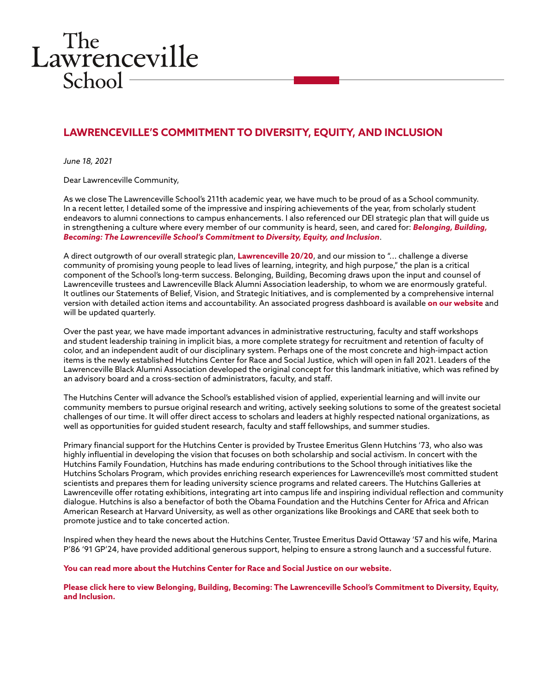## The<br>Lawrenceville  $School$

## **LAWRENCEVILLE'S COMMITMENT TO DIVERSITY, EQUITY, AND INCLUSION**

*June 18, 2021*

Dear Lawrenceville Community,

As we close The Lawrenceville School's 211th academic year, we have much to be proud of as a School community. In a recent letter, I detailed some of the impressive and inspiring achievements of the year, from scholarly student endeavors to alumni connections to campus enhancements. I also referenced our DEI strategic plan that will guide us in strengthening a culture where every member of our community is heard, seen, and cared for: *[Belonging, Building,](https://issuu.com/thelawrencevilleschool/docs/lawrenceville_dei-plan_june-2021?fr=sMGRjYTMxNDc2OTM)  [Becoming: The Lawrenceville School's Commitment to Diversity, Equity, and Inclusion](https://issuu.com/thelawrencevilleschool/docs/lawrenceville_dei-plan_june-2021?fr=sMGRjYTMxNDc2OTM)*.

A direct outgrowth of our overall strategic plan, **[Lawrenceville 20/20](https://issuu.com/thelawrencevilleschool/docs/lawrenceville_2020?e=2194472/41022869)**, and our mission to "... challenge a diverse community of promising young people to lead lives of learning, integrity, and high purpose," the plan is a critical component of the School's long-term success. Belonging, Building, Becoming draws upon the input and counsel of Lawrenceville trustees and Lawrenceville Black Alumni Association leadership, to whom we are enormously grateful. It outlines our Statements of Belief, Vision, and Strategic Initiatives, and is complemented by a comprehensive internal version with detailed action items and accountability. An associated progress dashboard is available **[on our website](https://www.lawrenceville.org/life-at-lawrenceville/news-events/news-detail/~board/school-news/post/lawrenceville-announces-hutchins-center-for-race-social-justice)** and will be updated quarterly.

Over the past year, we have made important advances in administrative restructuring, faculty and staff workshops and student leadership training in implicit bias, a more complete strategy for recruitment and retention of faculty of color, and an independent audit of our disciplinary system. Perhaps one of the most concrete and high-impact action items is the newly established Hutchins Center for Race and Social Justice, which will open in fall 2021. Leaders of the Lawrenceville Black Alumni Association developed the original concept for this landmark initiative, which was refined by an advisory board and a cross-section of administrators, faculty, and staff.

The Hutchins Center will advance the School's established vision of applied, experiential learning and will invite our community members to pursue original research and writing, actively seeking solutions to some of the greatest societal challenges of our time. It will offer direct access to scholars and leaders at highly respected national organizations, as well as opportunities for guided student research, faculty and staff fellowships, and summer studies.

Primary financial support for the Hutchins Center is provided by Trustee Emeritus Glenn Hutchins '73, who also was highly influential in developing the vision that focuses on both scholarship and social activism. In concert with the Hutchins Family Foundation, Hutchins has made enduring contributions to the School through initiatives like the Hutchins Scholars Program, which provides enriching research experiences for Lawrenceville's most committed student scientists and prepares them for leading university science programs and related careers. The Hutchins Galleries at Lawrenceville offer rotating exhibitions, integrating art into campus life and inspiring individual reflection and community dialogue. Hutchins is also a benefactor of both the Obama Foundation and the Hutchins Center for Africa and African American Research at Harvard University, as well as other organizations like Brookings and CARE that seek both to promote justice and to take concerted action.

Inspired when they heard the news about the Hutchins Center, Trustee Emeritus David Ottaway '57 and his wife, Marina P'86 '91 GP'24, have provided additional generous support, helping to ensure a strong launch and a successful future.

**[You can read more about the Hutchins Center for Race and Social Justice on our website.](https://www.lawrenceville.org/life-at-lawrenceville/news-events/news-detail/~board/school-news/post/lawrenceville-announces-hutchins-center-for-race-social-justice)**

**[Please click here to view Belonging, Building, Becoming: The Lawrenceville School's Commitment to Diversity, Equity,](https://issuu.com/thelawrencevilleschool/docs/lawrenceville_dei-plan_june-2021?fr=sMGRjYTMxNDc2OTM)  [and Inclusion.](https://issuu.com/thelawrencevilleschool/docs/lawrenceville_dei-plan_june-2021?fr=sMGRjYTMxNDc2OTM)**